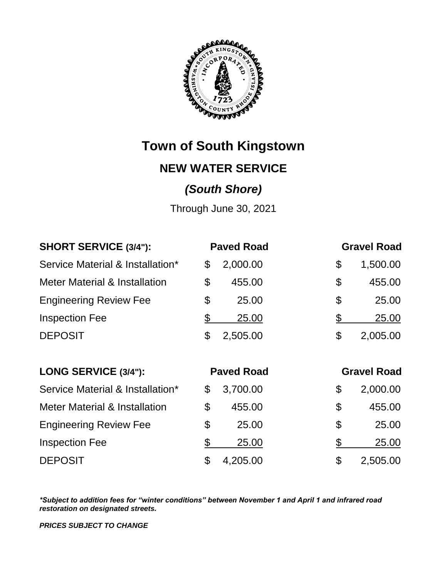

**Town of South Kingstown**

### **NEW WATER SERVICE**

## *(South Shore)*

Through June 30, 2021

| <b>SHORT SERVICE (3/4"):</b>             |                       | <b>Paved Road</b> | <b>Gravel Road</b> |  |
|------------------------------------------|-----------------------|-------------------|--------------------|--|
| Service Material & Installation*         | \$                    | 2,000.00          | \$<br>1,500.00     |  |
| <b>Meter Material &amp; Installation</b> | \$                    | 455.00            | \$<br>455.00       |  |
| <b>Engineering Review Fee</b>            | \$                    | 25.00             | \$<br>25.00        |  |
| <b>Inspection Fee</b>                    | $\frac{1}{2}$         | <u>25.00</u>      | \$<br><u>25.00</u> |  |
| <b>DEPOSIT</b>                           | $\boldsymbol{\theta}$ | 2,505.00          | \$<br>2,005.00     |  |
| LONG SERVICE (3/4"):                     | <b>Paved Road</b>     |                   | <b>Gravel Road</b> |  |
| Service Material & Installation*         | \$                    | 3,700.00          | \$<br>2,000.00     |  |
| <b>Meter Material &amp; Installation</b> | \$                    | 455.00            | \$<br>455.00       |  |
| <b>Engineering Review Fee</b>            | \$                    | 25.00             | \$<br>25.00        |  |
| <b>Inspection Fee</b>                    | $\frac{1}{2}$         | 25.00             | \$<br>25.00        |  |
| <b>DEPOSIT</b>                           |                       |                   |                    |  |

*\*Subject to addition fees for "winter conditions" between November 1 and April 1 and infrared road restoration on designated streets.*

*PRICES SUBJECT TO CHANGE*